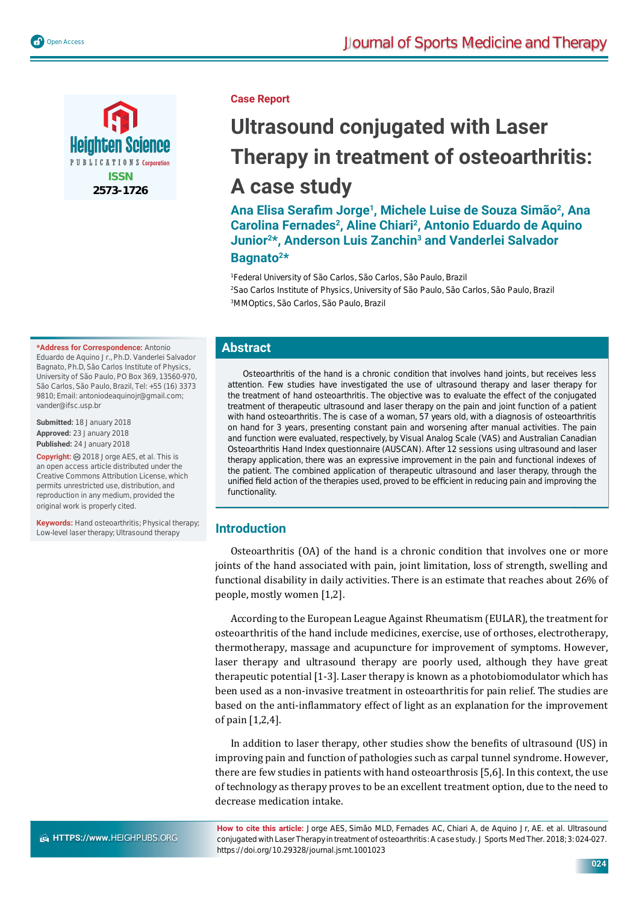



#### **Case Report**

# **Ultrasound conjugated with Laser Therapy in treatment of osteoarthritis: A case study**

Ana Elisa Serafim Jorge<sup>1</sup>, Michele Luise de Souza Simão<sup>2</sup>, Ana **Carolina Fernades2, Aline Chiari2, Antonio Eduardo de Aquino Junior2\*, Anderson Luis Zanchin3 and Vanderlei Salvador Bagnato2\***

1 Federal University of São Carlos, São Carlos, São Paulo, Brazil 2 Sao Carlos Institute of Physics, University of São Paulo, São Carlos, São Paulo, Brazil 3 MMOptics, São Carlos, São Paulo, Brazil

# **Abstract**

Osteoarthritis of the hand is a chronic condition that involves hand joints, but receives less attention. Few studies have investigated the use of ultrasound therapy and laser therapy for the treatment of hand osteoarthritis. The objective was to evaluate the effect of the conjugated treatment of therapeutic ultrasound and laser therapy on the pain and joint function of a patient with hand osteoarthritis. The is case of a woman, 57 years old, with a diagnosis of osteoarthritis on hand for 3 years, presenting constant pain and worsening after manual activities. The pain and function were evaluated, respectively, by Visual Analog Scale (VAS) and Australian Canadian Osteoarthritis Hand Index questionnaire (AUSCAN). After 12 sessions using ultrasound and laser therapy application, there was an expressive improvement in the pain and functional indexes of the patient. The combined application of therapeutic ultrasound and laser therapy, through the unified field action of the therapies used, proved to be efficient in reducing pain and improving the functionality.

## **Introduction**

Osteoarthritis (OA) of the hand is a chronic condition that involves one or more joints of the hand associated with pain, joint limitation, loss of strength, swelling and functional disability in daily activities. There is an estimate that reaches about 26% of people, mostly women [1,2].

According to the European League Against Rheumatism (EULAR), the treatment for osteoarthritis of the hand include medicines, exercise, use of orthoses, electrotherapy, thermotherapy, massage and acupuncture for improvement of symptoms. However, laser therapy and ultrasound therapy are poorly used, although they have great therapeutic potential [1-3]. Laser therapy is known as a photobiomodulator which has been used as a non-invasive treatment in osteoarthritis for pain relief. The studies are based on the anti-inflammatory effect of light as an explanation for the improvement of pain [1,2,4].

In addition to laser therapy, other studies show the benefits of ultrasound (US) in improving pain and function of pathologies such as carpal tunnel syndrome. However, there are few studies in patients with hand osteoarthrosis [5,6]. In this context, the use of technology as therapy proves to be an excellent treatment option, due to the need to decrease medication intake.

**How to cite this article:** Jorge AES, Simão MLD, Fernades AC, Chiari A, de Aquino Jr, AE. et al. Ultrasound conjugated with Laser Therapy in treatment of osteoarthritis: A case study. J Sports Med Ther. 2018; 3: 024-027. https://doi.org/10.29328/journal.jsmt.1001023

Eduardo de Aquino Jr., Ph.D. Vanderlei Salvador Bagnato, Ph.D, São Carlos Institute of Physics, University of São Paulo, PO Box 369, 13560-970, São Carlos, São Paulo, Brazil, Tel: +55 (16) 3373 9810; Email: antoniodeaquinojr@gmail.com; vander@ifsc.usp.br

**\*Address for Correspondence:** Antonio

**Submitted:** 18 January 2018 **Approved:** 23 January 2018 **Published:** 24 January 2018

Copyright: @ 2018 Jorge AES, et al. This is an open access article distributed under the Creative Commons Attribution License, which permits unrestricted use, distribution, and reproduction in any medium, provided the original work is properly cited.

**Keywords:** Hand osteoarthritis; Physical therapy; Low-level laser therapy; Ultrasound therapy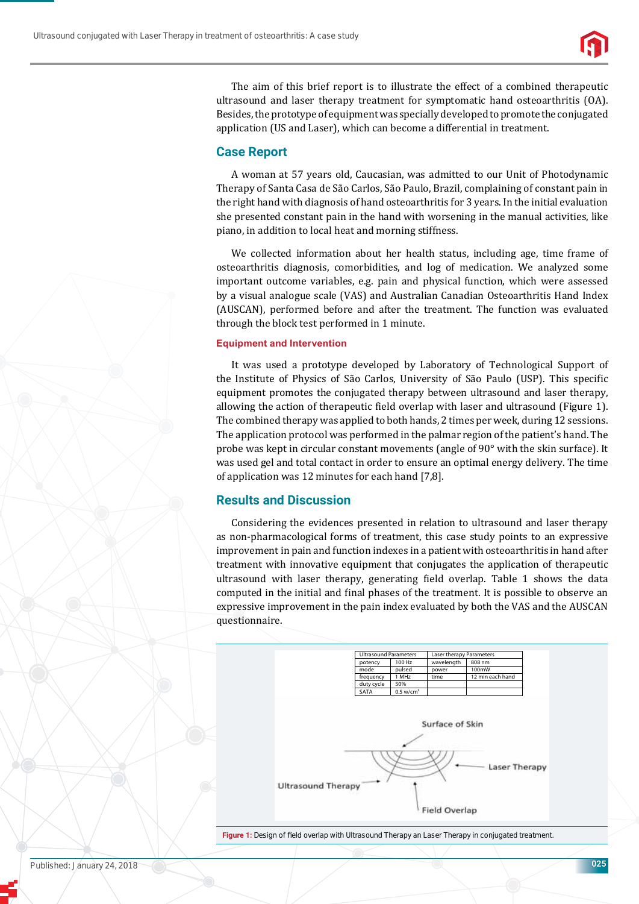

The aim of this brief report is to illustrate the effect of a combined therapeutic ultrasound and laser therapy treatment for symptomatic hand osteoarthritis (OA). Besides, the prototype of equipment was specially developed to promote the conjugated application (US and Laser), which can become a differential in treatment.

### **Case Report**

A woman at 57 years old, Caucasian, was admitted to our Unit of Photodynamic Therapy of Santa Casa de São Carlos, São Paulo, Brazil, complaining of constant pain in the right hand with diagnosis of hand osteoarthritis for 3 years. In the initial evaluation she presented constant pain in the hand with worsening in the manual activities, like piano, in addition to local heat and morning stiffness.

We collected information about her health status, including age, time frame of osteoarthritis diagnosis, comorbidities, and log of medication. We analyzed some important outcome variables, e.g. pain and physical function, which were assessed by a visual analogue scale (VAS) and Australian Canadian Osteoarthritis Hand Index (AUSCAN), performed before and after the treatment. The function was evaluated through the block test performed in 1 minute.

#### **Equipment and Intervention**

It was used a prototype developed by Laboratory of Technological Support of the Institute of Physics of São Carlos, University of São Paulo (USP). This specific equipment promotes the conjugated therapy between ultrasound and laser therapy, allowing the action of therapeutic field overlap with laser and ultrasound (Figure 1). The combined therapy was applied to both hands, 2 times per week, during 12 sessions. The application protocol was performed in the palmar region of the patient's hand. The probe was kept in circular constant movements (angle of 90° with the skin surface). It was used gel and total contact in order to ensure an optimal energy delivery. The time of application was 12 minutes for each hand [7,8].

## **Results and Discussion**

Considering the evidences presented in relation to ultrasound and laser therapy as non-pharmacological forms of treatment, this case study points to an expressive improvement in pain and function indexes in a patient with osteoarthritis in hand after treatment with innovative equipment that conjugates the application of therapeutic ultrasound with laser therapy, generating field overlap. Table 1 shows the data computed in the initial and final phases of the treatment. It is possible to observe an expressive improvement in the pain index evaluated by both the VAS and the AUSCAN questionnaire.



Figure 1: Design of field overlap with Ultrasound Therapy an Laser Therapy in conjugated treatment.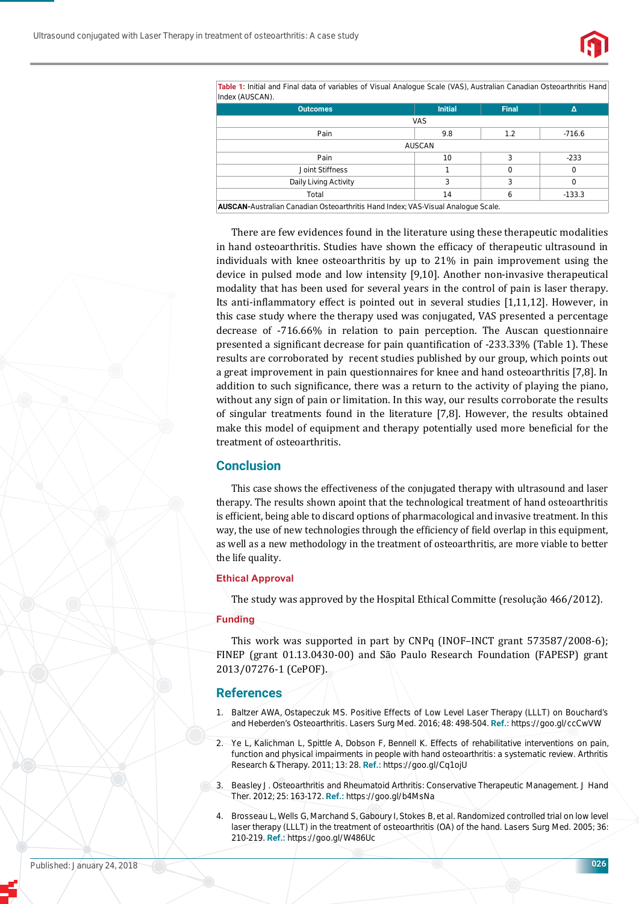

**Table 1:** Initial and Final data of variables of Visual Analogue Scale (VAS), Australian Canadian Osteoarthritis Hand Index (AUSCAN).

| $\sim$<br>. .<br><b>Outcomes</b>                                                 | <b>Initial</b> | <b>Final</b> | Δ        |
|----------------------------------------------------------------------------------|----------------|--------------|----------|
| <b>VAS</b>                                                                       |                |              |          |
| Pain                                                                             | 9.8            | 1.2          | -716.6   |
| <b>AUSCAN</b>                                                                    |                |              |          |
| Pain                                                                             | 10             | 3            | $-233$   |
| Joint Stiffness                                                                  |                | 0            | 0        |
| Daily Living Activity                                                            | 3              | 3            | $\Omega$ |
| Total                                                                            | 14             | 6            | $-133.3$ |
| AUSCAN-Australian Canadian Osteoarthritis Hand Index; VAS-Visual Analogue Scale. |                |              |          |

There are few evidences found in the literature using these therapeutic modalities in hand osteoarthritis. Studies have shown the efficacy of therapeutic ultrasound in individuals with knee osteoarthritis by up to 21% in pain improvement using the device in pulsed mode and low intensity [9,10]. Another non-invasive therapeutical modality that has been used for several years in the control of pain is laser therapy. Its anti-inflammatory effect is pointed out in several studies [1,11,12]. However, in this case study where the therapy used was conjugated, VAS presented a percentage decrease of -716.66% in relation to pain perception. The Auscan questionnaire presented a significant decrease for pain quantification of -233.33% (Table 1). These results are corroborated by recent studies published by our group, which points out a great improvement in pain questionnaires for knee and hand osteoarthritis [7,8]. In addition to such significance, there was a return to the activity of playing the piano, without any sign of pain or limitation. In this way, our results corroborate the results of singular treatments found in the literature [7,8]. However, the results obtained make this model of equipment and therapy potentially used more beneficial for the treatment of osteoarthritis.

# **Conclusion**

This case shows the effectiveness of the conjugated therapy with ultrasound and laser therapy. The results shown apoint that the technological treatment of hand osteoarthritis is efficient, being able to discard options of pharmacological and invasive treatment. In this way, the use of new technologies through the efficiency of field overlap in this equipment, as well as a new methodology in the treatment of osteoarthritis, are more viable to better the life quality.

#### **Ethical Approval**

The study was approved by the Hospital Ethical Committe (resolução 466/2012).

#### **Funding**

This work was supported in part by CNPq (INOF–INCT grant 573587/2008-6); FINEP (grant 01.13.0430-00) and São Paulo Research Foundation (FAPESP) grant 2013/07276-1 (CePOF).

#### **References**

- 1. Baltzer AWA, Ostapeczuk MS. Positive Effects of Low Level Laser Therapy (LLLT) on Bouchard's and Heberden's Osteoarthritis. Lasers Surg Med. 2016; 48: 498-504. **Ref.:** https://goo.gl/ccCwVW
- Ye L, Kalichman L, Spittle A, Dobson F, Bennell K. Effects of rehabilitative interventions on pain, function and physical impairments in people with hand osteoarthritis: a systematic review. Arthritis Research & Therapy. 2011; 13: 28. **Ref.:** https://goo.gl/Cq1ojU
- 3. Beasley J. Osteoarthritis and Rheumatoid Arthritis: Conservative Therapeutic Management. J Hand Ther. 2012; 25: 163-172. **Ref.:** https://goo.gl/b4MsNa
- Brosseau L, Wells G, Marchand S, Gaboury I, Stokes B, et al. Randomized controlled trial on low level laser therapy (LLLT) in the treatment of osteoarthritis (OA) of the hand. Lasers Surg Med. 2005; 36: 210-219. **Ref.:** https://goo.gl/W486Uc